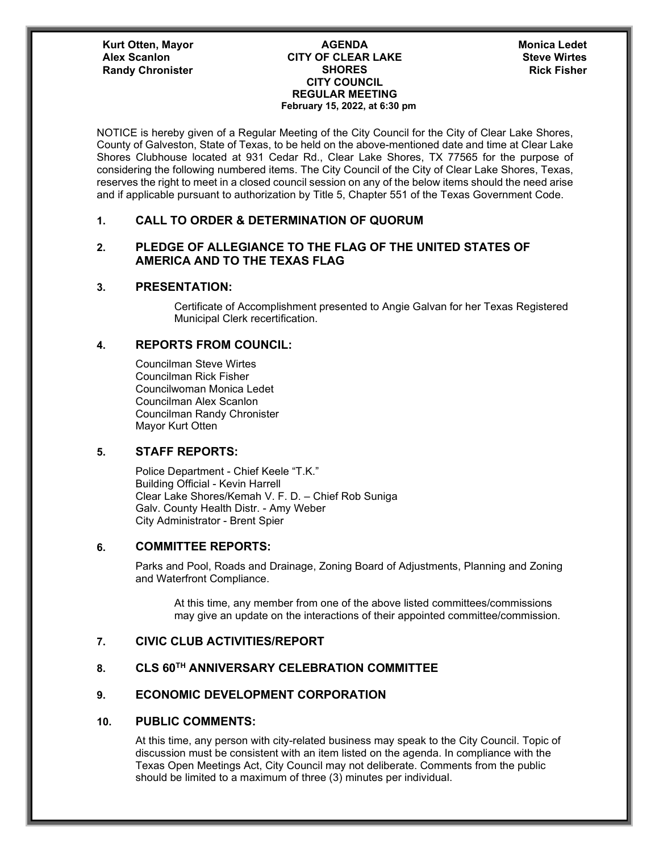#### **CITY OF CLEAR LAKE Alex Scanlon Steve Wirtes SHORES CITY COUNCIL REGULAR MEETING February 15, 2022, at 6:30 pm Randy Chronister Chronister SHORES Rick Fisher Rick Fisher**

# **Monica Ledet**

NOTICE is hereby given of a Regular Meeting of the City Council for the City of Clear Lake Shores, County of Galveston, State of Texas, to be held on the above-mentioned date and time at Clear Lake Shores Clubhouse located at 931 Cedar Rd., Clear Lake Shores, TX 77565 for the purpose of considering the following numbered items. The City Council of the City of Clear Lake Shores, Texas, reserves the right to meet in a closed council session on any of the below items should the need arise and if applicable pursuant to authorization by Title 5, Chapter 551 of the Texas Government Code.

## **1. CALL TO ORDER & DETERMINATION OF QUORUM**

# **2. PLEDGE OF ALLEGIANCE TO THE FLAG OF THE UNITED STATES OF AMERICA AND TO THE TEXAS FLAG**

#### **3. PRESENTATION:**

Certificate of Accomplishment presented to Angie Galvan for her Texas Registered Municipal Clerk recertification.

## **4. REPORTS FROM COUNCIL:**

Councilman Steve Wirtes Councilman Rick Fisher Councilwoman Monica Ledet Councilman Alex Scanlon Councilman Randy Chronister Mayor Kurt Otten

# **5. STAFF REPORTS:**

Police Department - Chief Keele "T.K." Building Official - Kevin Harrell Clear Lake Shores/Kemah V. F. D. – Chief Rob Suniga Galv. County Health Distr. - Amy Weber City Administrator - Brent Spier

## **6. COMMITTEE REPORTS:**

Parks and Pool, Roads and Drainage, Zoning Board of Adjustments, Planning and Zoning and Waterfront Compliance.

At this time, any member from one of the above listed committees/commissions may give an update on the interactions of their appointed committee/commission.

## **7. CIVIC CLUB ACTIVITIES/REPORT**

## **8. CLS 60TH ANNIVERSARY CELEBRATION COMMITTEE**

# **9. ECONOMIC DEVELOPMENT CORPORATION**

#### **10. PUBLIC COMMENTS:**

At this time, any person with city-related business may speak to the City Council. Topic of discussion must be consistent with an item listed on the agenda. In compliance with the Texas Open Meetings Act, City Council may not deliberate. Comments from the public should be limited to a maximum of three (3) minutes per individual.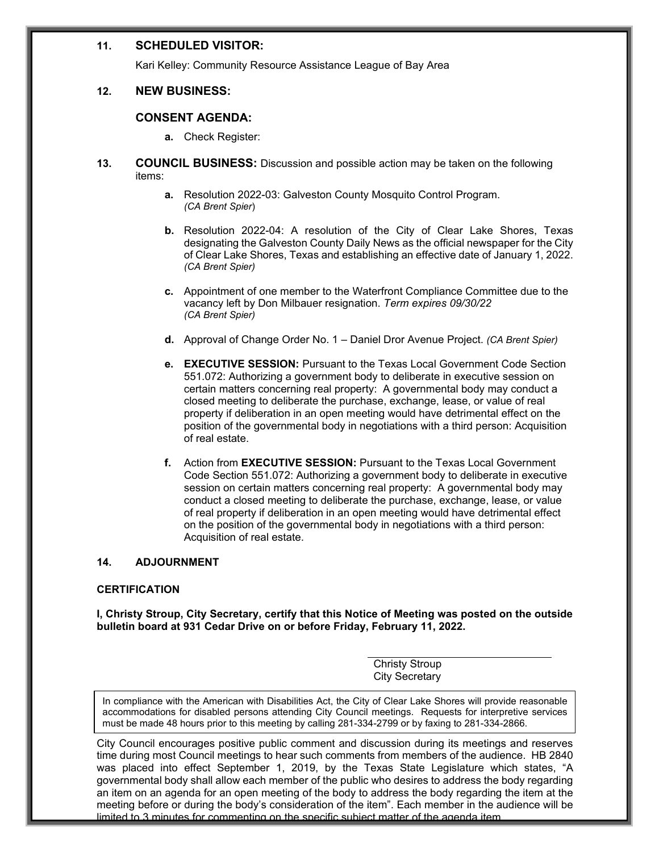#### **11. SCHEDULED VISITOR:**

Kari Kelley: Community Resource Assistance League of Bay Area

#### **12. NEW BUSINESS:**

#### **CONSENT AGENDA:**

- **a.** Check Register:
- **13. COUNCIL BUSINESS:** Discussion and possible action may be taken on the following items:
	- **a.** Resolution 2022-03: Galveston County Mosquito Control Program. *(CA Brent Spier*)
	- **b.** Resolution 2022-04: A resolution of the City of Clear Lake Shores, Texas designating the Galveston County Daily News as the official newspaper for the City of Clear Lake Shores, Texas and establishing an effective date of January 1, 2022. *(CA Brent Spier)*
	- **c.** Appointment of one member to the Waterfront Compliance Committee due to the vacancy left by Don Milbauer resignation. *Term expires 09/30/22 (CA Brent Spier)*
	- **d.** Approval of Change Order No. 1 Daniel Dror Avenue Project. *(CA Brent Spier)*
	- **e. EXECUTIVE SESSION:** Pursuant to the Texas Local Government Code Section 551.072: Authorizing a government body to deliberate in executive session on certain matters concerning real property: A governmental body may conduct a closed meeting to deliberate the purchase, exchange, lease, or value of real property if deliberation in an open meeting would have detrimental effect on the position of the governmental body in negotiations with a third person: Acquisition of real estate.
	- **f.** Action from **EXECUTIVE SESSION:** Pursuant to the Texas Local Government Code Section 551.072: Authorizing a government body to deliberate in executive session on certain matters concerning real property: A governmental body may conduct a closed meeting to deliberate the purchase, exchange, lease, or value of real property if deliberation in an open meeting would have detrimental effect on the position of the governmental body in negotiations with a third person: Acquisition of real estate.

#### **14. ADJOURNMENT**

#### **CERTIFICATION**

**I, Christy Stroup, City Secretary, certify that this Notice of Meeting was posted on the outside bulletin board at 931 Cedar Drive on or before Friday, February 11, 2022.**

> Christy Stroup City Secretary

In compliance with the American with Disabilities Act, the City of Clear Lake Shores will provide reasonable accommodations for disabled persons attending City Council meetings. Requests for interpretive services must be made 48 hours prior to this meeting by calling 281-334-2799 or by faxing to 281-334-2866.

City Council encourages positive public comment and discussion during its meetings and reserves time during most Council meetings to hear such comments from members of the audience. HB 2840 was placed into effect September 1, 2019, by the Texas State Legislature which states, "A governmental body shall allow each member of the public who desires to address the body regarding an item on an agenda for an open meeting of the body to address the body regarding the item at the meeting before or during the body's consideration of the item". Each member in the audience will be limited to 3 minutes for commenting on the specific subject matter of the agenda item.